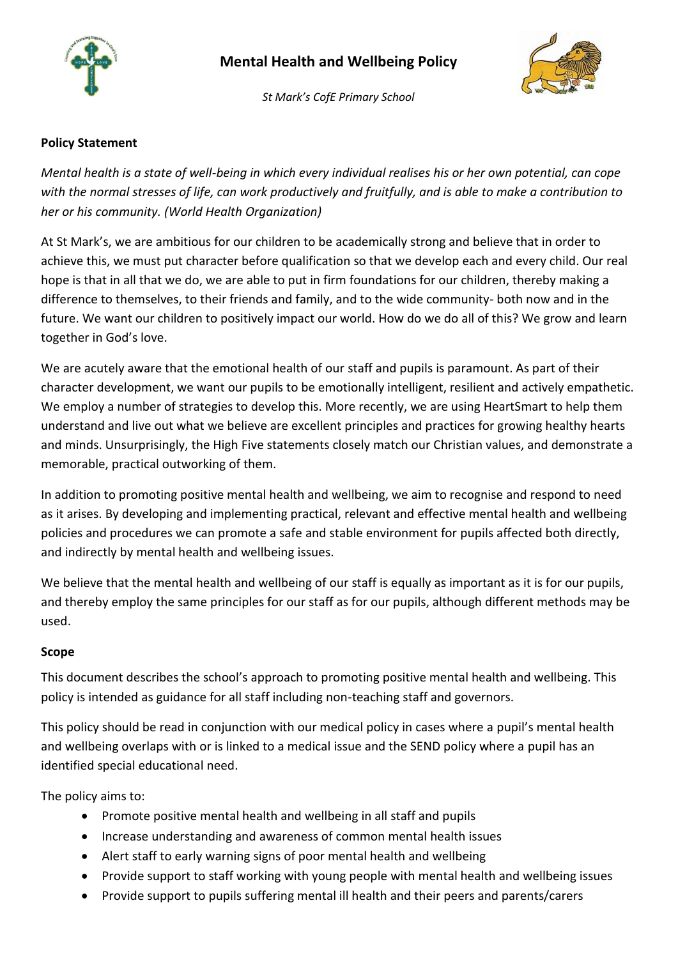



*St Mark's CofE Primary School*

## **Policy Statement**

*Mental health is a state of well-being in which every individual realises his or her own potential, can cope with the normal stresses of life, can work productively and fruitfully, and is able to make a contribution to her or his community. (World Health Organization)* 

At St Mark's, we are ambitious for our children to be academically strong and believe that in order to achieve this, we must put character before qualification so that we develop each and every child. Our real hope is that in all that we do, we are able to put in firm foundations for our children, thereby making a difference to themselves, to their friends and family, and to the wide community- both now and in the future. We want our children to positively impact our world. How do we do all of this? We grow and learn together in God's love.

We are acutely aware that the emotional health of our staff and pupils is paramount. As part of their character development, we want our pupils to be emotionally intelligent, resilient and actively empathetic. We employ a number of strategies to develop this. More recently, we are using HeartSmart to help them understand and live out what we believe are excellent principles and practices for growing healthy hearts and minds. Unsurprisingly, the High Five statements closely match our Christian values, and demonstrate a memorable, practical outworking of them.

In addition to promoting positive mental health and wellbeing, we aim to recognise and respond to need as it arises. By developing and implementing practical, relevant and effective mental health and wellbeing policies and procedures we can promote a safe and stable environment for pupils affected both directly, and indirectly by mental health and wellbeing issues.

We believe that the mental health and wellbeing of our staff is equally as important as it is for our pupils, and thereby employ the same principles for our staff as for our pupils, although different methods may be used.

### **Scope**

This document describes the school's approach to promoting positive mental health and wellbeing. This policy is intended as guidance for all staff including non-teaching staff and governors.

This policy should be read in conjunction with our medical policy in cases where a pupil's mental health and wellbeing overlaps with or is linked to a medical issue and the SEND policy where a pupil has an identified special educational need.

The policy aims to:

- Promote positive mental health and wellbeing in all staff and pupils
- Increase understanding and awareness of common mental health issues
- Alert staff to early warning signs of poor mental health and wellbeing
- Provide support to staff working with young people with mental health and wellbeing issues
- Provide support to pupils suffering mental ill health and their peers and parents/carers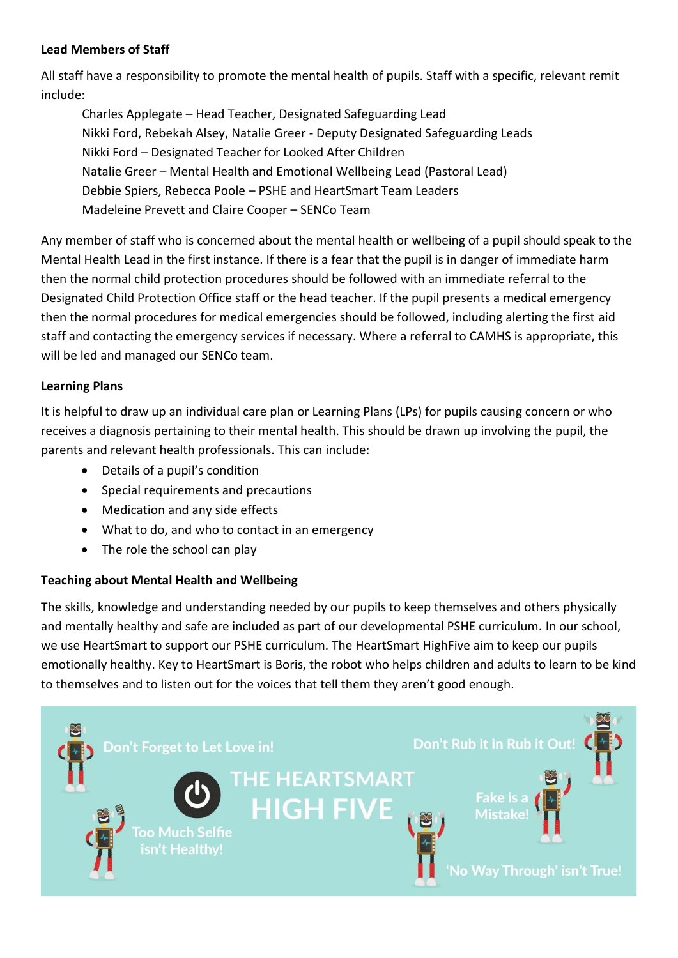#### **Lead Members of Staff**

All staff have a responsibility to promote the mental health of pupils. Staff with a specific, relevant remit include:

Charles Applegate – Head Teacher, Designated Safeguarding Lead Nikki Ford, Rebekah Alsey, Natalie Greer - Deputy Designated Safeguarding Leads Nikki Ford – Designated Teacher for Looked After Children Natalie Greer – Mental Health and Emotional Wellbeing Lead (Pastoral Lead) Debbie Spiers, Rebecca Poole – PSHE and HeartSmart Team Leaders Madeleine Prevett and Claire Cooper – SENCo Team

Any member of staff who is concerned about the mental health or wellbeing of a pupil should speak to the Mental Health Lead in the first instance. If there is a fear that the pupil is in danger of immediate harm then the normal child protection procedures should be followed with an immediate referral to the Designated Child Protection Office staff or the head teacher. If the pupil presents a medical emergency then the normal procedures for medical emergencies should be followed, including alerting the first aid staff and contacting the emergency services if necessary. Where a referral to CAMHS is appropriate, this will be led and managed our SENCo team.

### **Learning Plans**

It is helpful to draw up an individual care plan or Learning Plans (LPs) for pupils causing concern or who receives a diagnosis pertaining to their mental health. This should be drawn up involving the pupil, the parents and relevant health professionals. This can include:

- Details of a pupil's condition
- Special requirements and precautions
- Medication and any side effects
- What to do, and who to contact in an emergency
- The role the school can play

### **Teaching about Mental Health and Wellbeing**

The skills, knowledge and understanding needed by our pupils to keep themselves and others physically and mentally healthy and safe are included as part of our developmental PSHE curriculum. In our school, we use HeartSmart to support our PSHE curriculum. The HeartSmart HighFive aim to keep our pupils emotionally healthy. Key to HeartSmart is Boris, the robot who helps children and adults to learn to be kind to themselves and to listen out for the voices that tell them they aren't good enough.

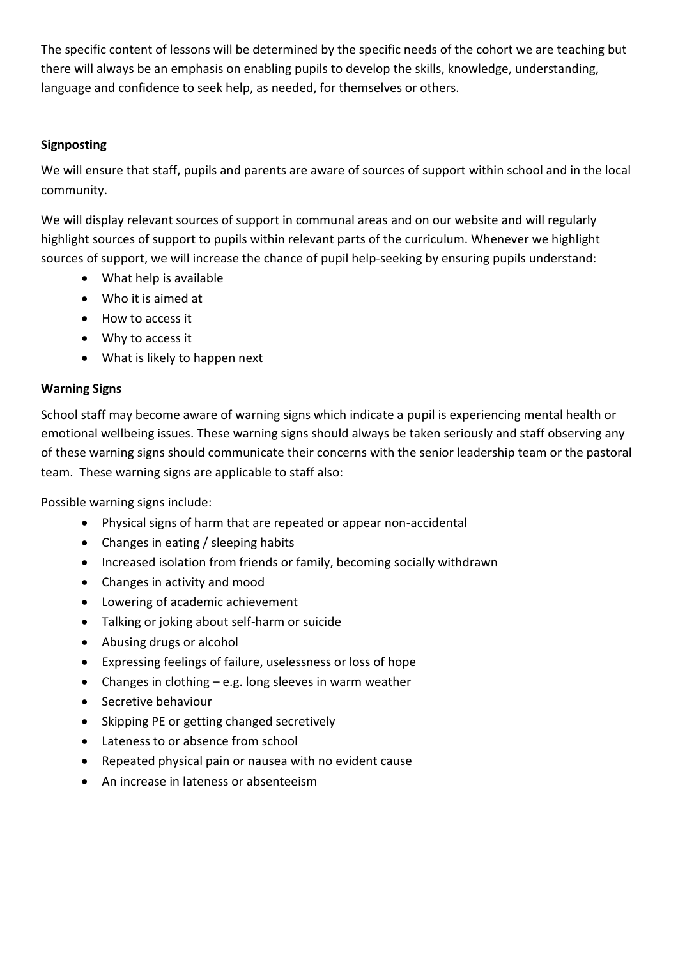The specific content of lessons will be determined by the specific needs of the cohort we are teaching but there will always be an emphasis on enabling pupils to develop the skills, knowledge, understanding, language and confidence to seek help, as needed, for themselves or others.

## **Signposting**

We will ensure that staff, pupils and parents are aware of sources of support within school and in the local community.

We will display relevant sources of support in communal areas and on our website and will regularly highlight sources of support to pupils within relevant parts of the curriculum. Whenever we highlight sources of support, we will increase the chance of pupil help-seeking by ensuring pupils understand:

- What help is available
- Who it is aimed at
- How to access it
- Why to access it
- What is likely to happen next

## **Warning Signs**

School staff may become aware of warning signs which indicate a pupil is experiencing mental health or emotional wellbeing issues. These warning signs should always be taken seriously and staff observing any of these warning signs should communicate their concerns with the senior leadership team or the pastoral team. These warning signs are applicable to staff also:

Possible warning signs include:

- Physical signs of harm that are repeated or appear non-accidental
- Changes in eating / sleeping habits
- Increased isolation from friends or family, becoming socially withdrawn
- Changes in activity and mood
- Lowering of academic achievement
- Talking or joking about self-harm or suicide
- Abusing drugs or alcohol
- Expressing feelings of failure, uselessness or loss of hope
- Changes in clothing  $-e.g.$  long sleeves in warm weather
- Secretive behaviour
- Skipping PE or getting changed secretively
- Lateness to or absence from school
- Repeated physical pain or nausea with no evident cause
- An increase in lateness or absenteeism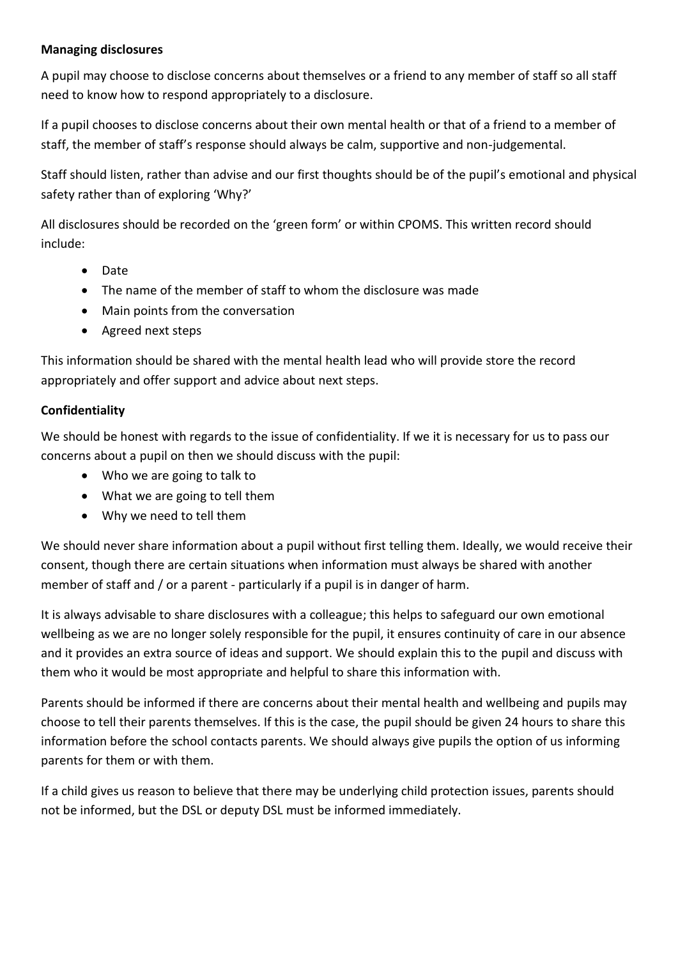### **Managing disclosures**

A pupil may choose to disclose concerns about themselves or a friend to any member of staff so all staff need to know how to respond appropriately to a disclosure.

If a pupil chooses to disclose concerns about their own mental health or that of a friend to a member of staff, the member of staff's response should always be calm, supportive and non-judgemental.

Staff should listen, rather than advise and our first thoughts should be of the pupil's emotional and physical safety rather than of exploring 'Why?'

All disclosures should be recorded on the 'green form' or within CPOMS. This written record should include:

- Date
- The name of the member of staff to whom the disclosure was made
- Main points from the conversation
- Agreed next steps

This information should be shared with the mental health lead who will provide store the record appropriately and offer support and advice about next steps.

# **Confidentiality**

We should be honest with regards to the issue of confidentiality. If we it is necessary for us to pass our concerns about a pupil on then we should discuss with the pupil:

- Who we are going to talk to
- What we are going to tell them
- Why we need to tell them

We should never share information about a pupil without first telling them. Ideally, we would receive their consent, though there are certain situations when information must always be shared with another member of staff and / or a parent - particularly if a pupil is in danger of harm.

It is always advisable to share disclosures with a colleague; this helps to safeguard our own emotional wellbeing as we are no longer solely responsible for the pupil, it ensures continuity of care in our absence and it provides an extra source of ideas and support. We should explain this to the pupil and discuss with them who it would be most appropriate and helpful to share this information with.

Parents should be informed if there are concerns about their mental health and wellbeing and pupils may choose to tell their parents themselves. If this is the case, the pupil should be given 24 hours to share this information before the school contacts parents. We should always give pupils the option of us informing parents for them or with them.

If a child gives us reason to believe that there may be underlying child protection issues, parents should not be informed, but the DSL or deputy DSL must be informed immediately.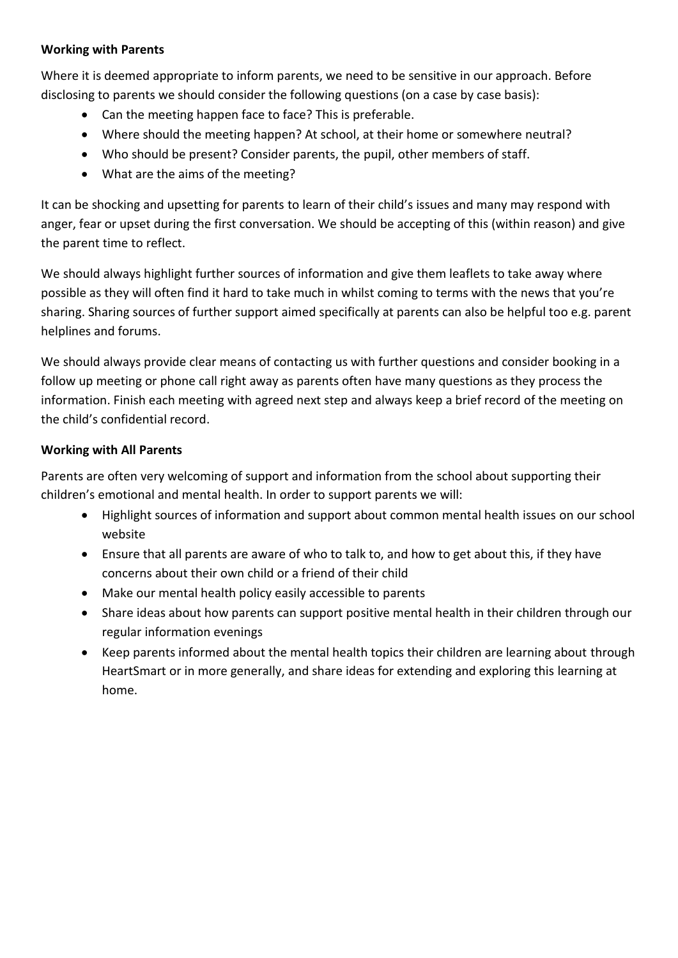#### **Working with Parents**

Where it is deemed appropriate to inform parents, we need to be sensitive in our approach. Before disclosing to parents we should consider the following questions (on a case by case basis):

- Can the meeting happen face to face? This is preferable.
- Where should the meeting happen? At school, at their home or somewhere neutral?
- Who should be present? Consider parents, the pupil, other members of staff.
- What are the aims of the meeting?

It can be shocking and upsetting for parents to learn of their child's issues and many may respond with anger, fear or upset during the first conversation. We should be accepting of this (within reason) and give the parent time to reflect.

We should always highlight further sources of information and give them leaflets to take away where possible as they will often find it hard to take much in whilst coming to terms with the news that you're sharing. Sharing sources of further support aimed specifically at parents can also be helpful too e.g. parent helplines and forums.

We should always provide clear means of contacting us with further questions and consider booking in a follow up meeting or phone call right away as parents often have many questions as they process the information. Finish each meeting with agreed next step and always keep a brief record of the meeting on the child's confidential record.

## **Working with All Parents**

Parents are often very welcoming of support and information from the school about supporting their children's emotional and mental health. In order to support parents we will:

- Highlight sources of information and support about common mental health issues on our school website
- Ensure that all parents are aware of who to talk to, and how to get about this, if they have concerns about their own child or a friend of their child
- Make our mental health policy easily accessible to parents
- Share ideas about how parents can support positive mental health in their children through our regular information evenings
- Keep parents informed about the mental health topics their children are learning about through HeartSmart or in more generally, and share ideas for extending and exploring this learning at home.